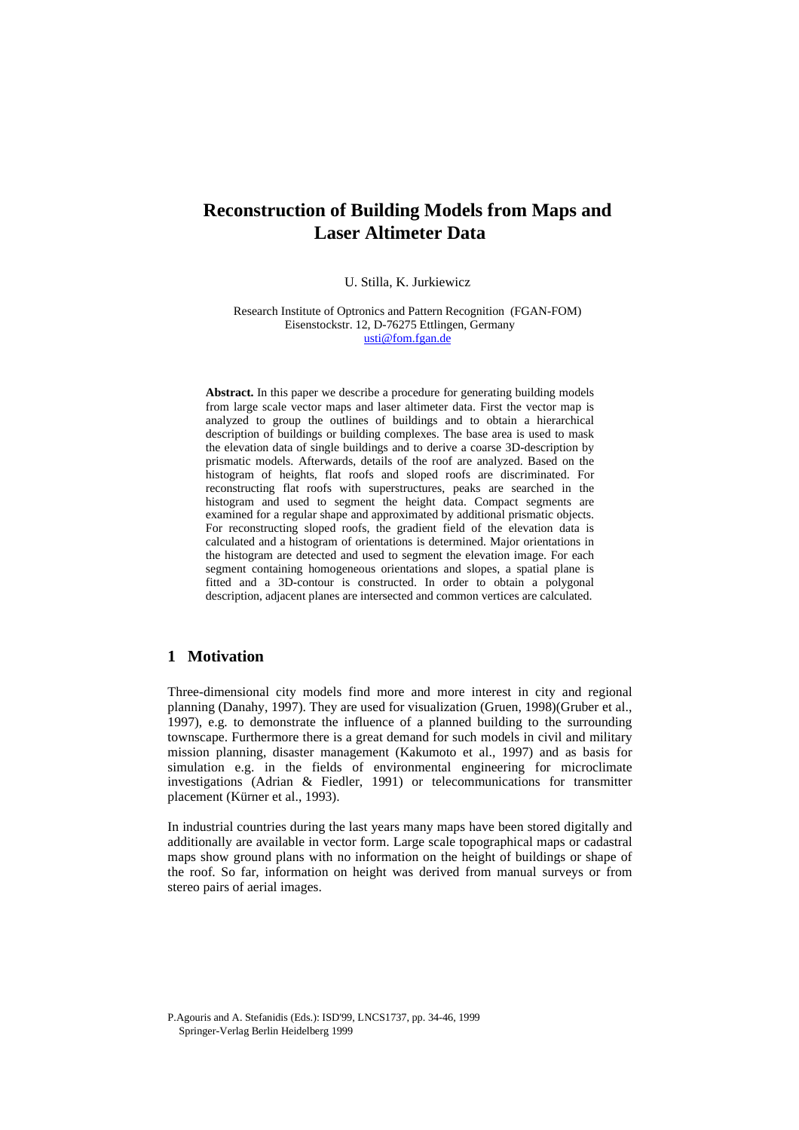# **Reconstruction of Building Models from Maps and Laser Altimeter Data**

U. Stilla, K. Jurkiewicz

Research Institute of Optronics and Pattern Recognition (FGAN-FOM) Eisenstockstr. 12, D-76275 Ettlingen, Germany usti@fom.fgan.de

**Abstract.** In this paper we describe a procedure for generating building models from large scale vector maps and laser altimeter data. First the vector map is analyzed to group the outlines of buildings and to obtain a hierarchical description of buildings or building complexes. The base area is used to mask the elevation data of single buildings and to derive a coarse 3D-description by prismatic models. Afterwards, details of the roof are analyzed. Based on the histogram of heights, flat roofs and sloped roofs are discriminated. For reconstructing flat roofs with superstructures, peaks are searched in the histogram and used to segment the height data. Compact segments are examined for a regular shape and approximated by additional prismatic objects. For reconstructing sloped roofs, the gradient field of the elevation data is calculated and a histogram of orientations is determined. Major orientations in the histogram are detected and used to segment the elevation image. For each segment containing homogeneous orientations and slopes, a spatial plane is fitted and a 3D-contour is constructed. In order to obtain a polygonal description, adjacent planes are intersected and common vertices are calculated.

# **1 Motivation**

Three-dimensional city models find more and more interest in city and regional planning (Danahy, 1997). They are used for visualization (Gruen, 1998)(Gruber et al., 1997), e.g. to demonstrate the influence of a planned building to the surrounding townscape. Furthermore there is a great demand for such models in civil and military mission planning, disaster management (Kakumoto et al., 1997) and as basis for simulation e.g. in the fields of environmental engineering for microclimate investigations (Adrian & Fiedler, 1991) or telecommunications for transmitter placement (Kürner et al., 1993).

In industrial countries during the last years many maps have been stored digitally and additionally are available in vector form. Large scale topographical maps or cadastral maps show ground plans with no information on the height of buildings or shape of the roof. So far, information on height was derived from manual surveys or from stereo pairs of aerial images.

P.Agouris and A. Stefanidis (Eds.): ISD'99, LNCS1737, pp. 34-46, 1999

Springer-Verlag Berlin Heidelberg 1999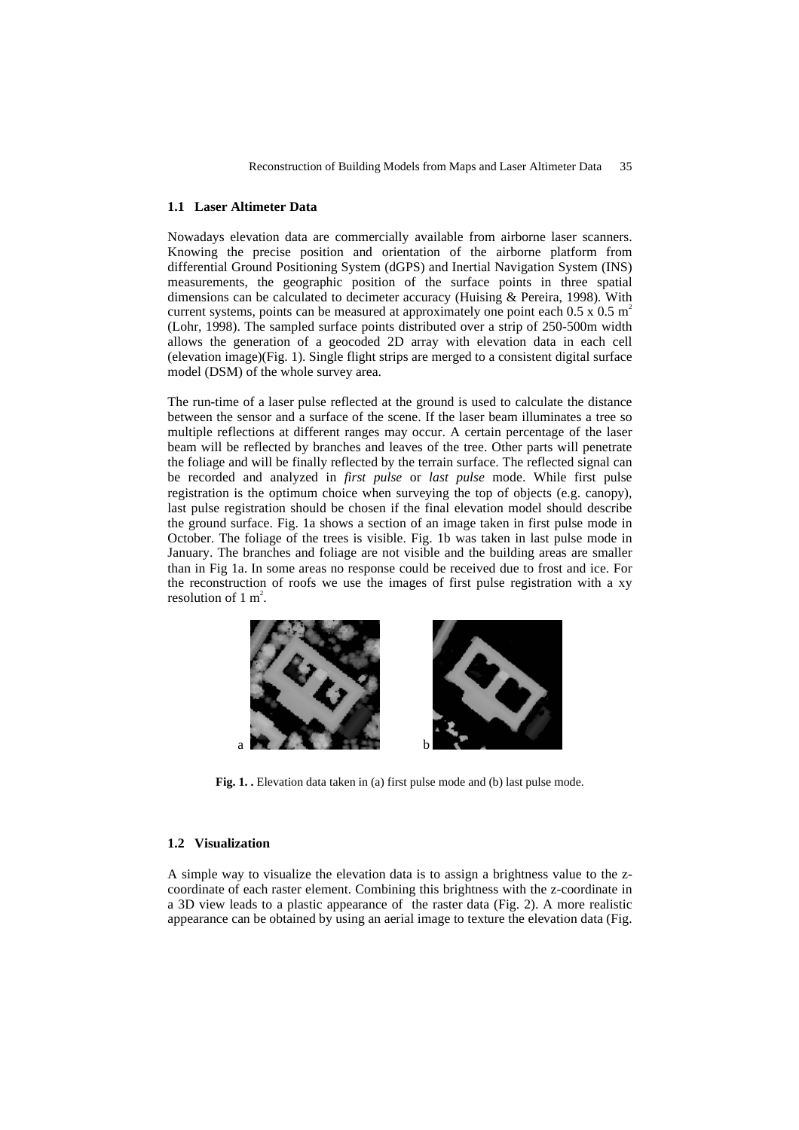#### **1.1 Laser Altimeter Data**

Nowadays elevation data are commercially available from airborne laser scanners. Knowing the precise position and orientation of the airborne platform from differential Ground Positioning System (dGPS) and Inertial Navigation System (INS) measurements, the geographic position of the surface points in three spatial dimensions can be calculated to decimeter accuracy (Huising & Pereira, 1998). With current systems, points can be measured at approximately one point each  $0.5 \times 0.5 \text{ m}^2$ (Lohr, 1998). The sampled surface points distributed over a strip of 250-500m width allows the generation of a geocoded 2D array with elevation data in each cell (elevation image)(Fig. 1). Single flight strips are merged to a consistent digital surface model (DSM) of the whole survey area.

The run-time of a laser pulse reflected at the ground is used to calculate the distance between the sensor and a surface of the scene. If the laser beam illuminates a tree so multiple reflections at different ranges may occur. A certain percentage of the laser beam will be reflected by branches and leaves of the tree. Other parts will penetrate the foliage and will be finally reflected by the terrain surface. The reflected signal can be recorded and analyzed in *first pulse* or *last pulse* mode. While first pulse registration is the optimum choice when surveying the top of objects (e.g. canopy), last pulse registration should be chosen if the final elevation model should describe the ground surface. Fig. 1a shows a section of an image taken in first pulse mode in October. The foliage of the trees is visible. Fig. 1b was taken in last pulse mode in January. The branches and foliage are not visible and the building areas are smaller than in Fig 1a. In some areas no response could be received due to frost and ice. For the reconstruction of roofs we use the images of first pulse registration with a xy resolution of  $1 \text{ m}^2$ .



**Fig. 1. .** Elevation data taken in (a) first pulse mode and (b) last pulse mode.

### **1.2 Visualization**

A simple way to visualize the elevation data is to assign a brightness value to the zcoordinate of each raster element. Combining this brightness with the z-coordinate in a 3D view leads to a plastic appearance of the raster data (Fig. 2). A more realistic appearance can be obtained by using an aerial image to texture the elevation data (Fig.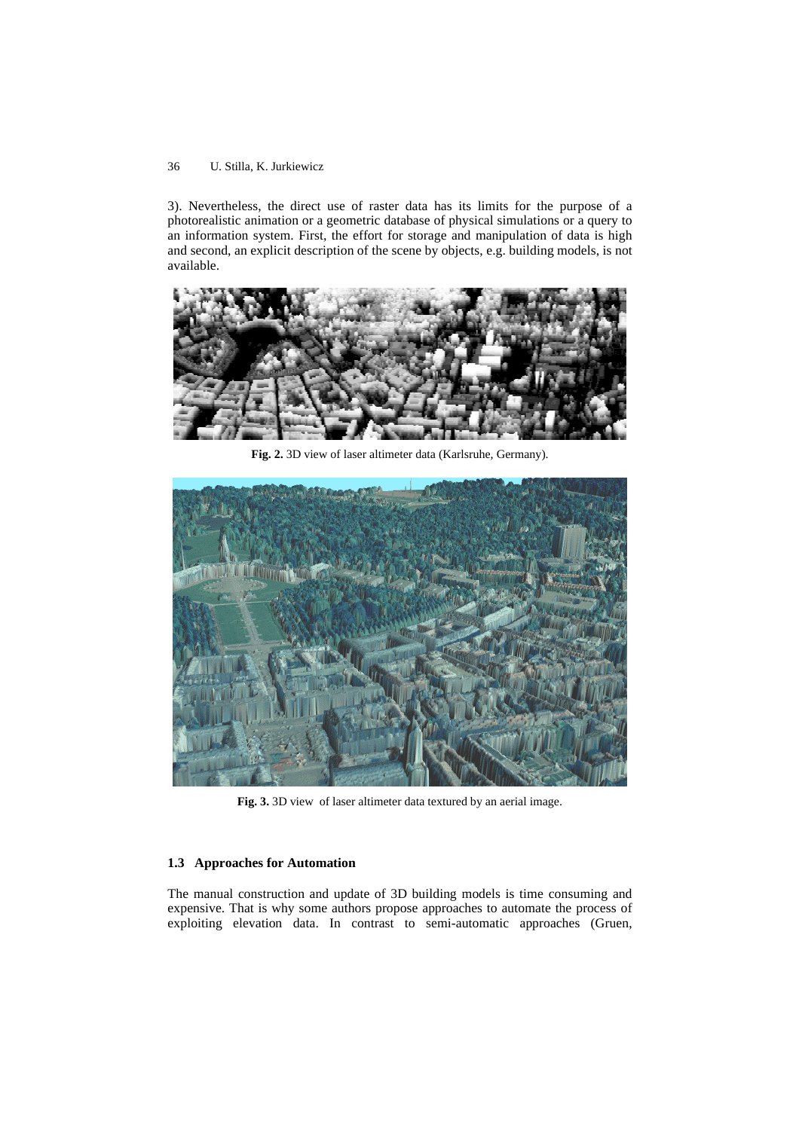3). Nevertheless, the direct use of raster data has its limits for the purpose of a photorealistic animation or a geometric database of physical simulations or a query to an information system. First, the effort for storage and manipulation of data is high and second, an explicit description of the scene by objects, e.g. building models, is not available.



**Fig. 2.** 3D view of laser altimeter data (Karlsruhe, Germany).



**Fig. 3.** 3D view of laser altimeter data textured by an aerial image.

### **1.3 Approaches for Automation**

The manual construction and update of 3D building models is time consuming and expensive. That is why some authors propose approaches to automate the process of exploiting elevation data. In contrast to semi-automatic approaches (Gruen,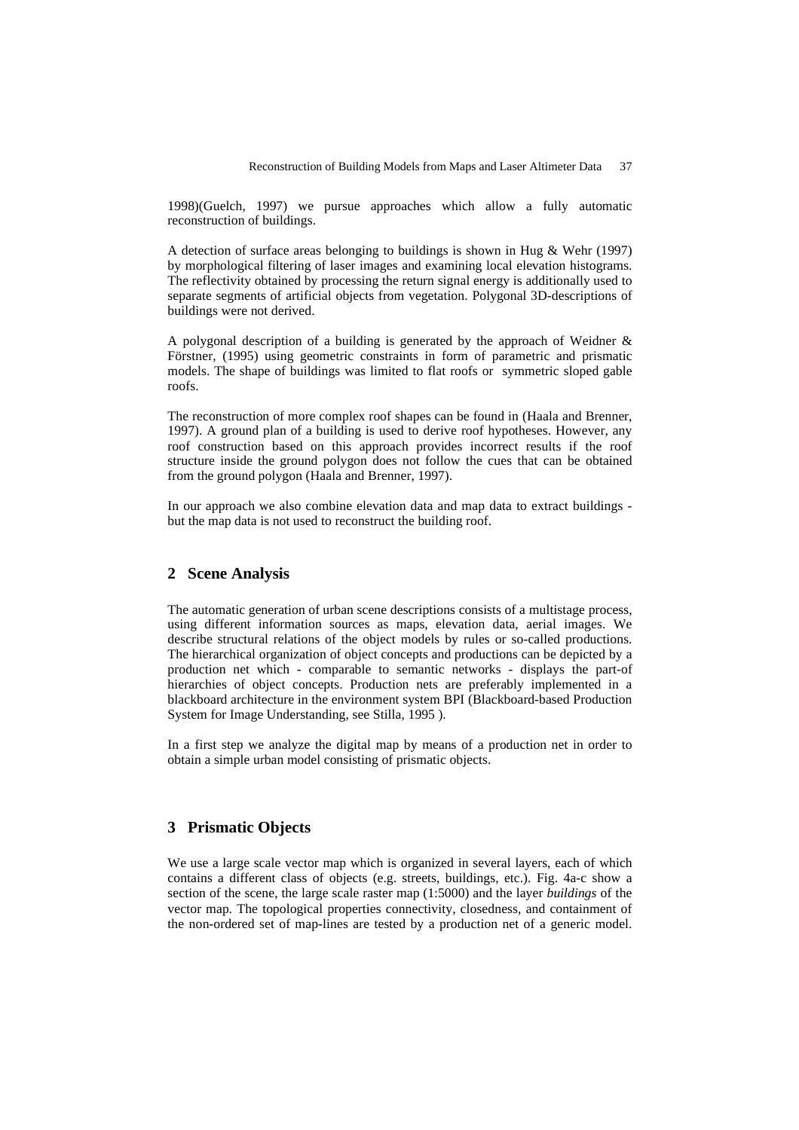1998)(Guelch, 1997) we pursue approaches which allow a fully automatic reconstruction of buildings.

A detection of surface areas belonging to buildings is shown in Hug & Wehr (1997) by morphological filtering of laser images and examining local elevation histograms. The reflectivity obtained by processing the return signal energy is additionally used to separate segments of artificial objects from vegetation. Polygonal 3D-descriptions of buildings were not derived.

A polygonal description of a building is generated by the approach of Weidner & Förstner, (1995) using geometric constraints in form of parametric and prismatic models. The shape of buildings was limited to flat roofs or symmetric sloped gable roofs.

The reconstruction of more complex roof shapes can be found in (Haala and Brenner, 1997). A ground plan of a building is used to derive roof hypotheses. However, any roof construction based on this approach provides incorrect results if the roof structure inside the ground polygon does not follow the cues that can be obtained from the ground polygon (Haala and Brenner, 1997).

In our approach we also combine elevation data and map data to extract buildings but the map data is not used to reconstruct the building roof.

## **2 Scene Analysis**

The automatic generation of urban scene descriptions consists of a multistage process, using different information sources as maps, elevation data, aerial images. We describe structural relations of the object models by rules or so-called productions. The hierarchical organization of object concepts and productions can be depicted by a production net which - comparable to semantic networks - displays the part-of hierarchies of object concepts. Production nets are preferably implemented in a blackboard architecture in the environment system BPI (Blackboard-based Production System for Image Understanding, see Stilla, 1995 ).

In a first step we analyze the digital map by means of a production net in order to obtain a simple urban model consisting of prismatic objects.

# **3 Prismatic Objects**

We use a large scale vector map which is organized in several layers, each of which contains a different class of objects (e.g. streets, buildings, etc.). Fig. 4a-c show a section of the scene, the large scale raster map (1:5000) and the layer *buildings* of the vector map. The topological properties connectivity, closedness, and containment of the non-ordered set of map-lines are tested by a production net of a generic model.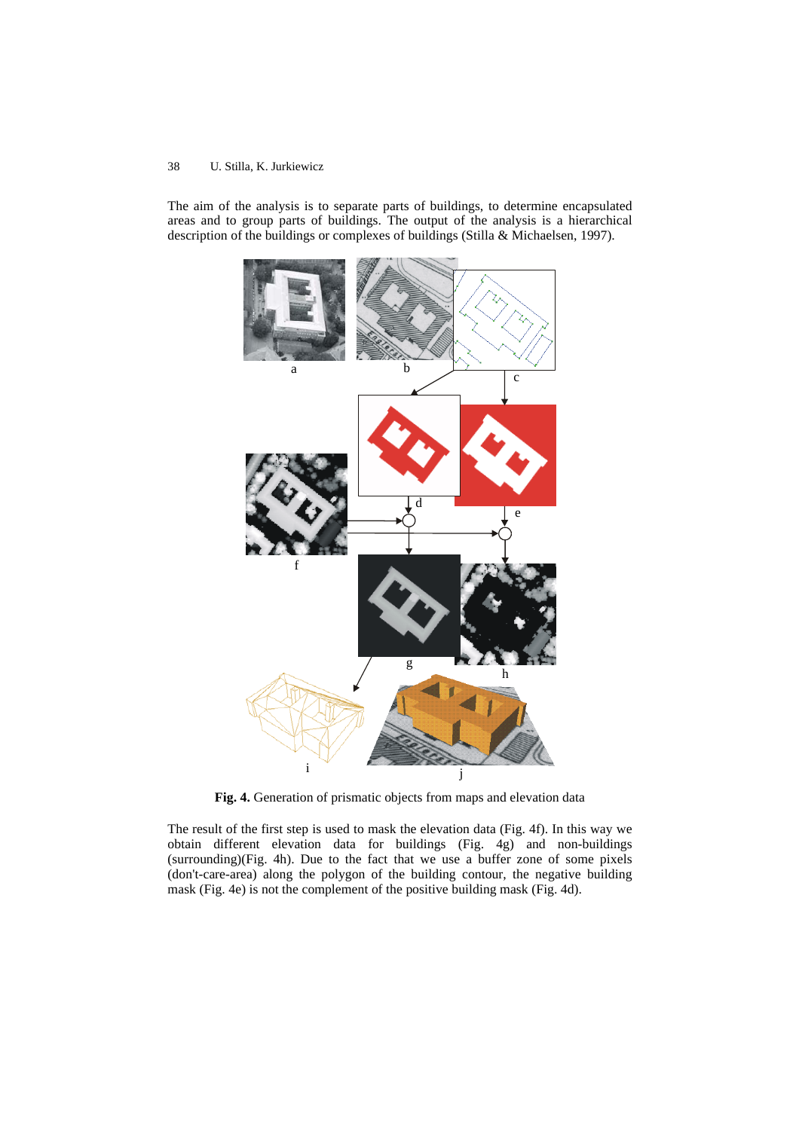The aim of the analysis is to separate parts of buildings, to determine encapsulated areas and to group parts of buildings. The output of the analysis is a hierarchical description of the buildings or complexes of buildings (Stilla & Michaelsen, 1997).



**Fig. 4.** Generation of prismatic objects from maps and elevation data

The result of the first step is used to mask the elevation data (Fig. 4f). In this way we obtain different elevation data for buildings (Fig. 4g) and non-buildings (surrounding)(Fig. 4h). Due to the fact that we use a buffer zone of some pixels (don't-care-area) along the polygon of the building contour, the negative building mask (Fig. 4e) is not the complement of the positive building mask (Fig. 4d).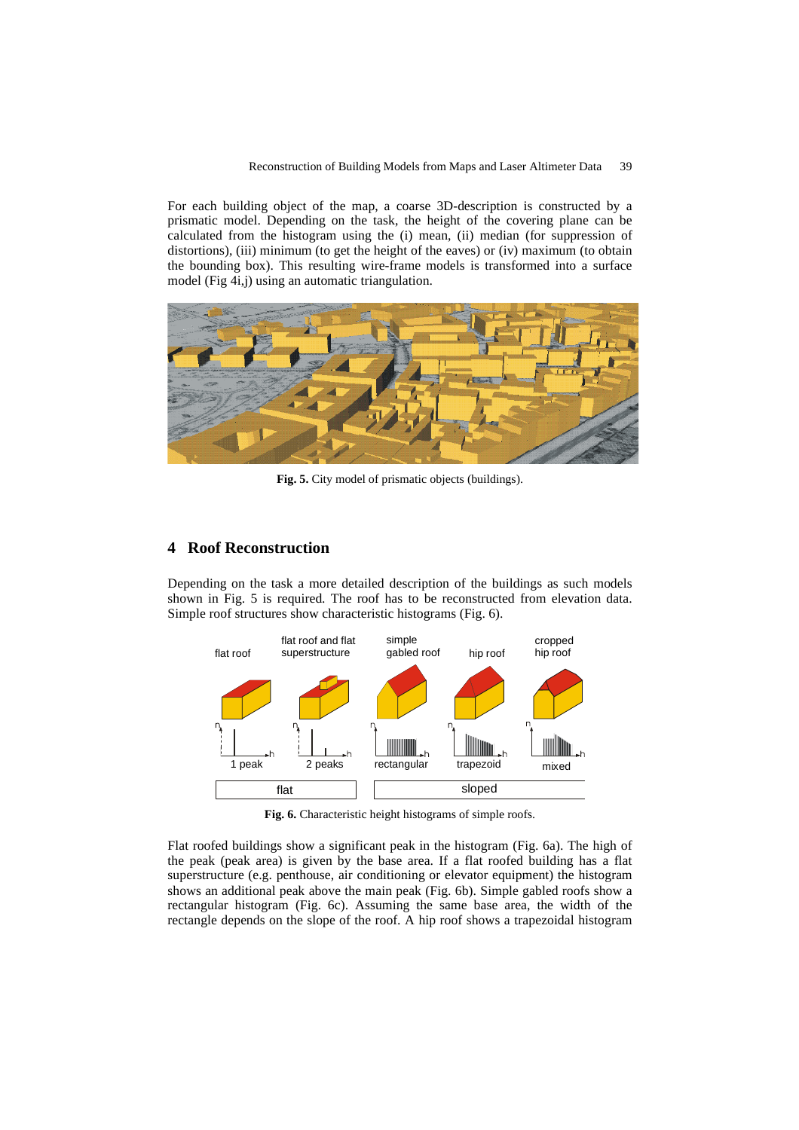For each building object of the map, a coarse 3D-description is constructed by a prismatic model. Depending on the task, the height of the covering plane can be calculated from the histogram using the (i) mean, (ii) median (for suppression of distortions), (iii) minimum (to get the height of the eaves) or (iv) maximum (to obtain the bounding box). This resulting wire-frame models is transformed into a surface model (Fig 4i,j) using an automatic triangulation.



**Fig. 5.** City model of prismatic objects (buildings).

### **4 Roof Reconstruction**

Depending on the task a more detailed description of the buildings as such models shown in Fig. 5 is required. The roof has to be reconstructed from elevation data. Simple roof structures show characteristic histograms (Fig. 6).



**Fig. 6.** Characteristic height histograms of simple roofs.

Flat roofed buildings show a significant peak in the histogram (Fig. 6a). The high of the peak (peak area) is given by the base area. If a flat roofed building has a flat superstructure (e.g. penthouse, air conditioning or elevator equipment) the histogram shows an additional peak above the main peak (Fig. 6b). Simple gabled roofs show a rectangular histogram (Fig. 6c). Assuming the same base area, the width of the rectangle depends on the slope of the roof. A hip roof shows a trapezoidal histogram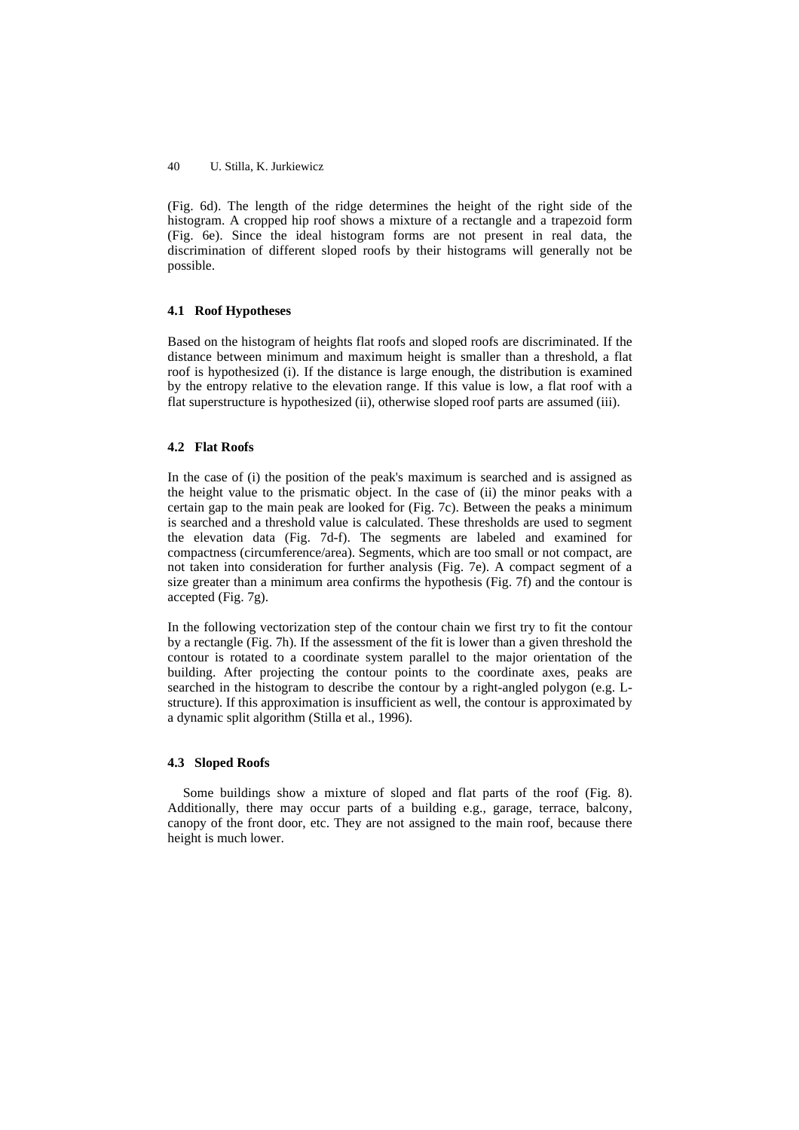(Fig. 6d). The length of the ridge determines the height of the right side of the histogram. A cropped hip roof shows a mixture of a rectangle and a trapezoid form (Fig. 6e). Since the ideal histogram forms are not present in real data, the discrimination of different sloped roofs by their histograms will generally not be possible.

#### **4.1 Roof Hypotheses**

Based on the histogram of heights flat roofs and sloped roofs are discriminated. If the distance between minimum and maximum height is smaller than a threshold, a flat roof is hypothesized (i). If the distance is large enough, the distribution is examined by the entropy relative to the elevation range. If this value is low, a flat roof with a flat superstructure is hypothesized (ii), otherwise sloped roof parts are assumed (iii).

### **4.2 Flat Roofs**

In the case of (i) the position of the peak's maximum is searched and is assigned as the height value to the prismatic object. In the case of (ii) the minor peaks with a certain gap to the main peak are looked for (Fig. 7c). Between the peaks a minimum is searched and a threshold value is calculated. These thresholds are used to segment the elevation data (Fig. 7d-f). The segments are labeled and examined for compactness (circumference/area). Segments, which are too small or not compact, are not taken into consideration for further analysis (Fig. 7e). A compact segment of a size greater than a minimum area confirms the hypothesis (Fig. 7f) and the contour is accepted (Fig. 7g).

In the following vectorization step of the contour chain we first try to fit the contour by a rectangle (Fig. 7h). If the assessment of the fit is lower than a given threshold the contour is rotated to a coordinate system parallel to the major orientation of the building. After projecting the contour points to the coordinate axes, peaks are searched in the histogram to describe the contour by a right-angled polygon (e.g. Lstructure). If this approximation is insufficient as well, the contour is approximated by a dynamic split algorithm (Stilla et al., 1996).

#### **4.3 Sloped Roofs**

Some buildings show a mixture of sloped and flat parts of the roof (Fig. 8). Additionally, there may occur parts of a building e.g., garage, terrace, balcony, canopy of the front door, etc. They are not assigned to the main roof, because there height is much lower.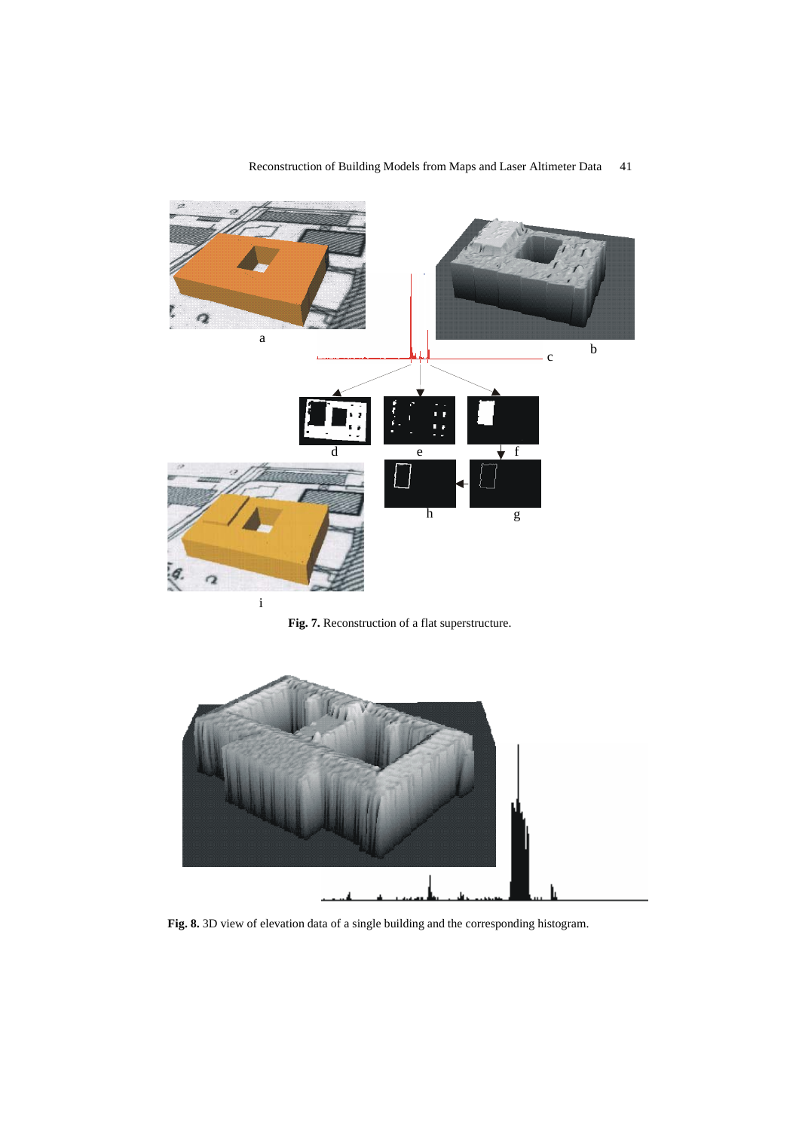

# Reconstruction of Building Models from Maps and Laser Altimeter Data 41

**Fig. 7.** Reconstruction of a flat superstructure.



**Fig. 8.** 3D view of elevation data of a single building and the corresponding histogram.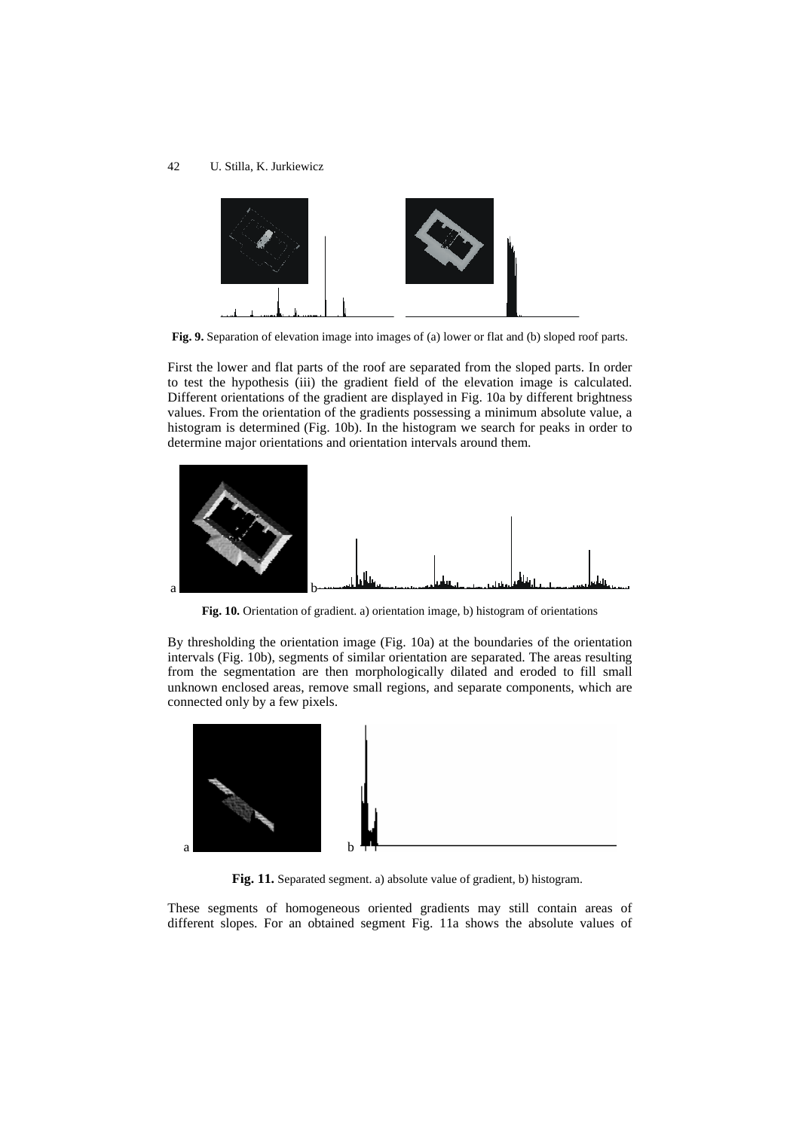

**Fig. 9.** Separation of elevation image into images of (a) lower or flat and (b) sloped roof parts.

First the lower and flat parts of the roof are separated from the sloped parts. In order to test the hypothesis (iii) the gradient field of the elevation image is calculated. Different orientations of the gradient are displayed in Fig. 10a by different brightness values. From the orientation of the gradients possessing a minimum absolute value, a histogram is determined (Fig. 10b). In the histogram we search for peaks in order to determine major orientations and orientation intervals around them.



**Fig. 10.** Orientation of gradient. a) orientation image, b) histogram of orientations

By thresholding the orientation image (Fig. 10a) at the boundaries of the orientation intervals (Fig. 10b), segments of similar orientation are separated. The areas resulting from the segmentation are then morphologically dilated and eroded to fill small unknown enclosed areas, remove small regions, and separate components, which are connected only by a few pixels.



Fig. 11. Separated segment. a) absolute value of gradient, b) histogram.

These segments of homogeneous oriented gradients may still contain areas of different slopes. For an obtained segment Fig. 11a shows the absolute values of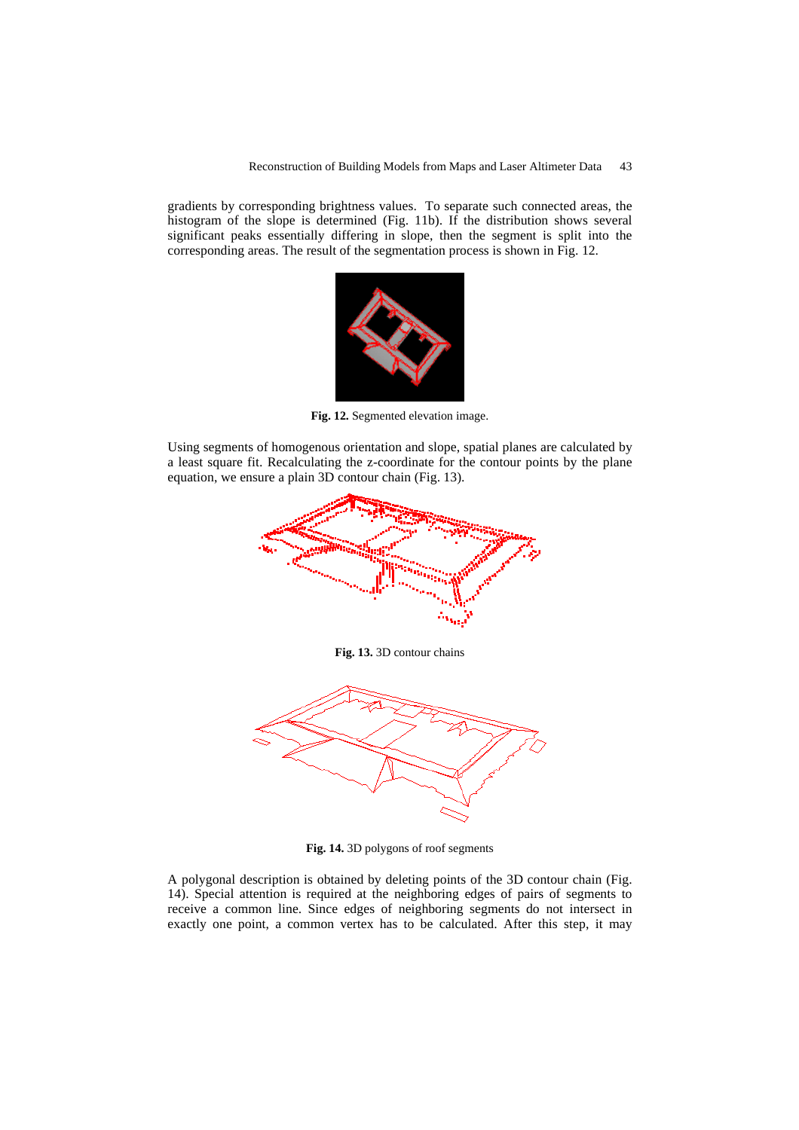gradients by corresponding brightness values. To separate such connected areas, the histogram of the slope is determined (Fig. 11b). If the distribution shows several significant peaks essentially differing in slope, then the segment is split into the corresponding areas. The result of the segmentation process is shown in Fig. 12.



**Fig. 12.** Segmented elevation image.

Using segments of homogenous orientation and slope, spatial planes are calculated by a least square fit. Recalculating the z-coordinate for the contour points by the plane equation, we ensure a plain 3D contour chain (Fig. 13).



**Fig. 14.** 3D polygons of roof segments

A polygonal description is obtained by deleting points of the 3D contour chain (Fig. 14). Special attention is required at the neighboring edges of pairs of segments to receive a common line. Since edges of neighboring segments do not intersect in exactly one point, a common vertex has to be calculated. After this step, it may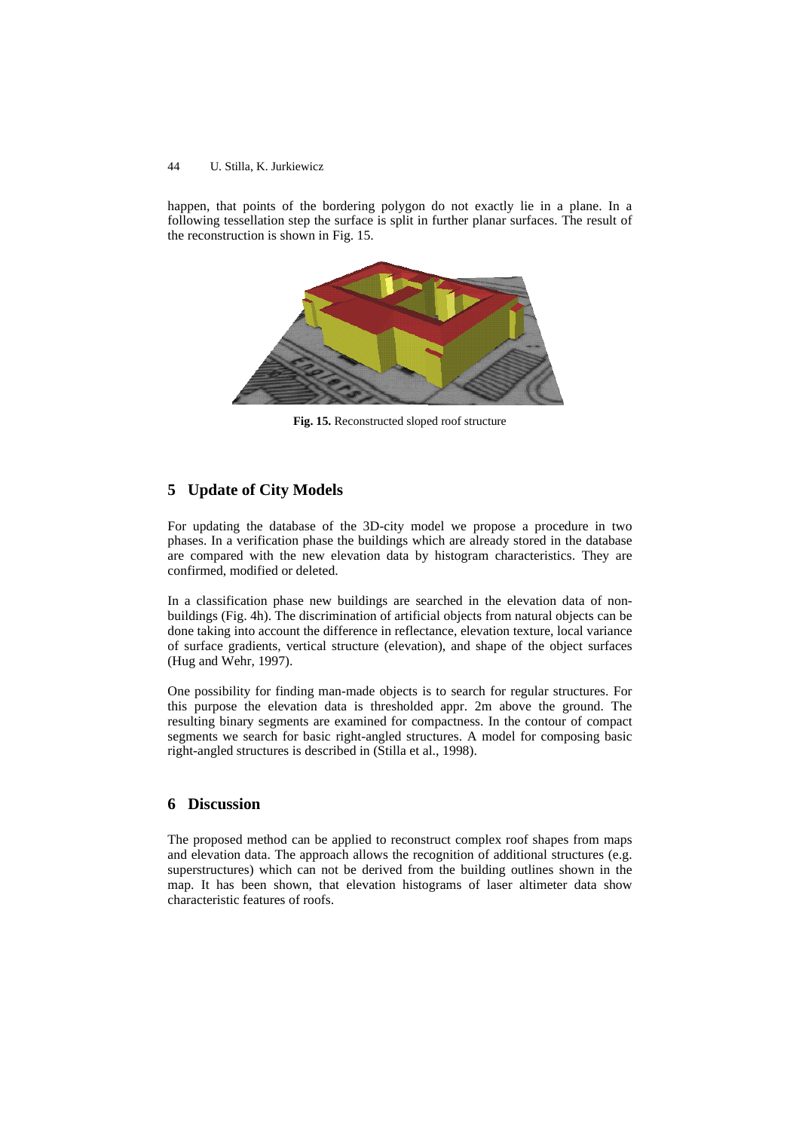happen, that points of the bordering polygon do not exactly lie in a plane. In a following tessellation step the surface is split in further planar surfaces. The result of the reconstruction is shown in Fig. 15.



**Fig. 15.** Reconstructed sloped roof structure

# **5 Update of City Models**

For updating the database of the 3D-city model we propose a procedure in two phases. In a verification phase the buildings which are already stored in the database are compared with the new elevation data by histogram characteristics. They are confirmed, modified or deleted.

In a classification phase new buildings are searched in the elevation data of nonbuildings (Fig. 4h). The discrimination of artificial objects from natural objects can be done taking into account the difference in reflectance, elevation texture, local variance of surface gradients, vertical structure (elevation), and shape of the object surfaces (Hug and Wehr, 1997).

One possibility for finding man-made objects is to search for regular structures. For this purpose the elevation data is thresholded appr. 2m above the ground. The resulting binary segments are examined for compactness. In the contour of compact segments we search for basic right-angled structures. A model for composing basic right-angled structures is described in (Stilla et al., 1998).

# **6 Discussion**

The proposed method can be applied to reconstruct complex roof shapes from maps and elevation data. The approach allows the recognition of additional structures (e.g. superstructures) which can not be derived from the building outlines shown in the map. It has been shown, that elevation histograms of laser altimeter data show characteristic features of roofs.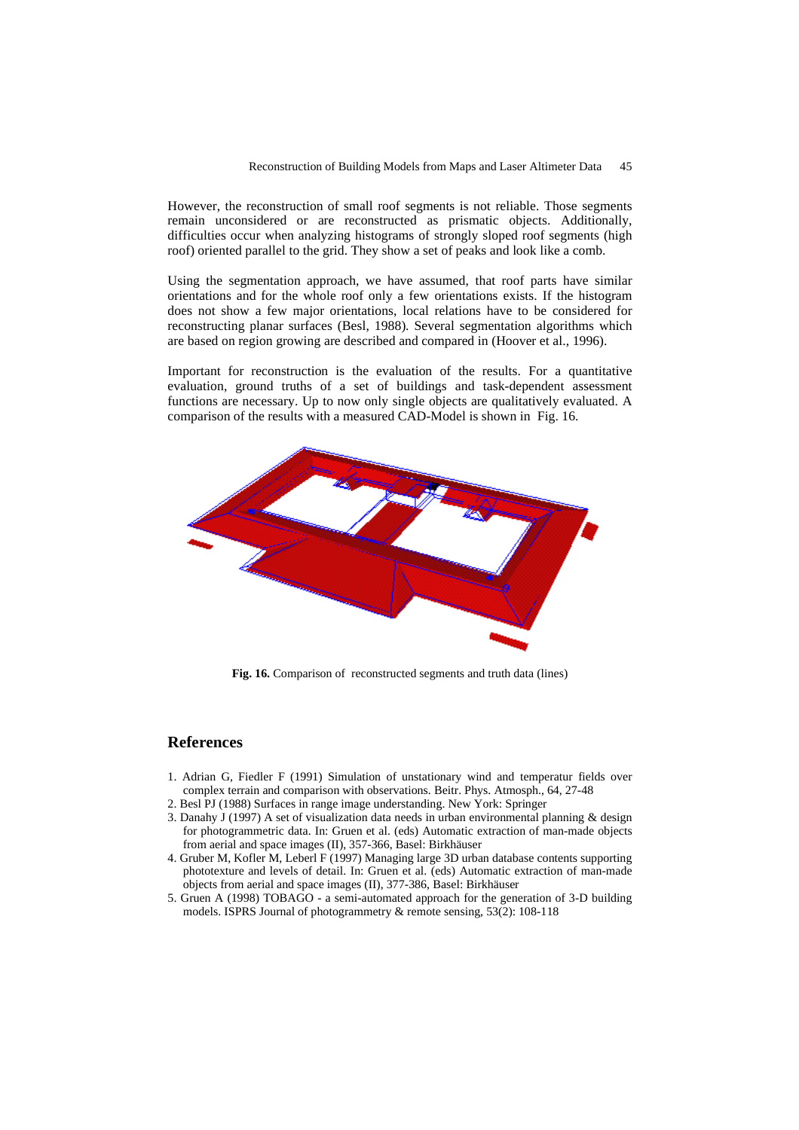However, the reconstruction of small roof segments is not reliable. Those segments remain unconsidered or are reconstructed as prismatic objects. Additionally, difficulties occur when analyzing histograms of strongly sloped roof segments (high roof) oriented parallel to the grid. They show a set of peaks and look like a comb.

Using the segmentation approach, we have assumed, that roof parts have similar orientations and for the whole roof only a few orientations exists. If the histogram does not show a few major orientations, local relations have to be considered for reconstructing planar surfaces (Besl, 1988). Several segmentation algorithms which are based on region growing are described and compared in (Hoover et al., 1996).

Important for reconstruction is the evaluation of the results. For a quantitative evaluation, ground truths of a set of buildings and task-dependent assessment functions are necessary. Up to now only single objects are qualitatively evaluated. A comparison of the results with a measured CAD-Model is shown in Fig. 16.



**Fig. 16.** Comparison of reconstructed segments and truth data (lines)

### **References**

- 1. Adrian G, Fiedler F (1991) Simulation of unstationary wind and temperatur fields over complex terrain and comparison with observations. Beitr. Phys. Atmosph., 64, 27-48
- 2. Besl PJ (1988) Surfaces in range image understanding. New York: Springer
- 3. Danahy J (1997) A set of visualization data needs in urban environmental planning & design for photogrammetric data. In: Gruen et al. (eds) Automatic extraction of man-made objects from aerial and space images (II), 357-366, Basel: Birkhäuser
- 4. Gruber M, Kofler M, Leberl F (1997) Managing large 3D urban database contents supporting phototexture and levels of detail. In: Gruen et al. (eds) Automatic extraction of man-made objects from aerial and space images (II), 377-386, Basel: Birkhäuser
- 5. Gruen A (1998) TOBAGO a semi-automated approach for the generation of 3-D building models. ISPRS Journal of photogrammetry & remote sensing, 53(2): 108-118